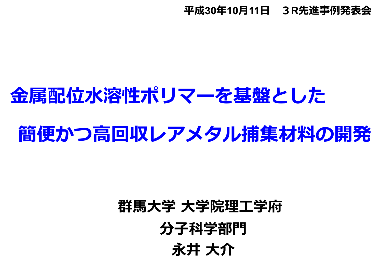#### **平成30年10⽉11⽇ 3R先進事例発表会**

# **⾦属配位⽔溶性ポリマーを基盤とした**

# **簡便かつ⾼回収レアメタル捕集材料の開発**

# **永井 ⼤介 群⾺⼤学 ⼤学院理⼯学府** 分子科学部門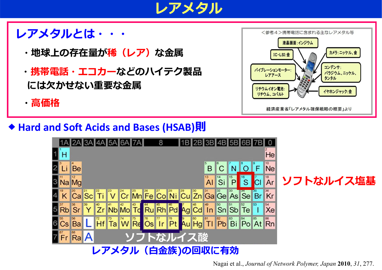

#### **レアメタルとは・・・**

- ・地球上の存在量が<mark>稀(レア)</mark>な金属
- **・携帯電話・エコカーなどのハイテク製品** には欠かせない重要な金属
- **・⾼価格**



#### **Hard and Soft Acids and Bases (HSAB)則**



Nagai et al., *Journal of Network Polymer, Japan* **2010**, *31*, 277.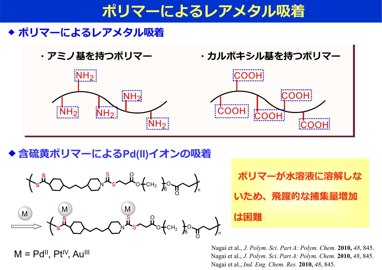## **ポリマーによるレアメタル吸着** <sup>1</sup>

#### ◆ ポリマーによるレアメタル吸着





COOH

◆含硫黄ポリマーによるPd(II)イオンの吸着



 $M = Pd$ <sup>II</sup>,  $Pt^{\text{IV}}$ ,  $Au^{\text{III}}$ 

**ポリマーが水溶液に溶解しな いため、飛躍的な捕集量増加 は困難**

COOH

Nagai et al., *J. Polym. Sci. Part A: Polym. Chem.* **2010,** *48*, 845. Nagai et al., *J. Polym. Sci. Part A: Polym. Chem.* **2010,** *48*, 845. Nagai et al., *Ind. Eng. Chem. Res.* **2010,** *48*, 845.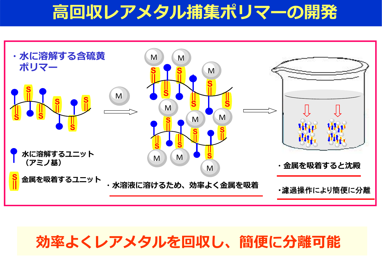## **⾼回収レアメタル捕集ポリマーの開発**



#### **効率よくレアメタルを回収し、簡便に分離可能**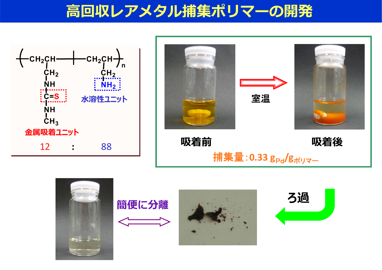## **⾼回収レアメタル捕集ポリマーの開発**





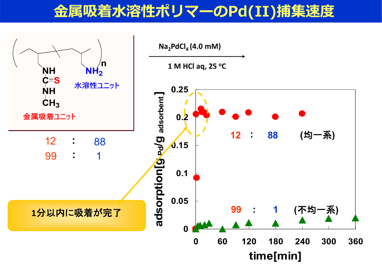### 金属吸着水溶性ポリマーのPd(II)捕集速度

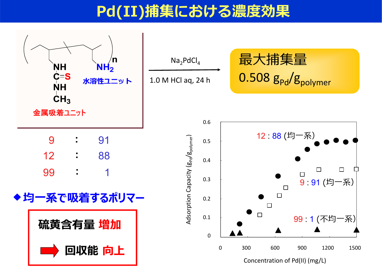## **Pd(II)捕集における濃度効果**

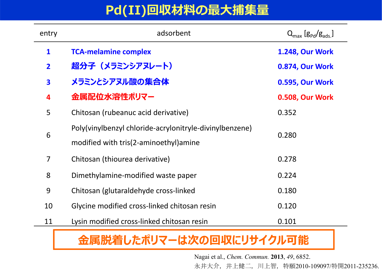#### **Pd(II)回収材料の最⼤捕集量**

| entry                   | adsorbent                                               | $Q_{\text{max}}[g_{\text{Pd}}/g_{\text{ads}}]$ |
|-------------------------|---------------------------------------------------------|------------------------------------------------|
| $\mathbf{1}$            | <b>TCA-melamine complex</b>                             | <b>1.248, Our Work</b>                         |
| $\overline{2}$          | 超分子(メラミンシアヌレート)                                         | 0.874, Our Work                                |
| $\overline{\mathbf{3}}$ | メラミンとシアヌル酸の集合体                                          | <b>0.595, Our Work</b>                         |
| 4                       | 金属配位水溶性ボリマー                                             | <b>0.508, Our Work</b>                         |
| 5                       | Chitosan (rubeanuc acid derivative)                     | 0.352                                          |
| 6                       | Poly(vinylbenzyl chloride-acrylonitryle-divinylbenzene) | 0.280                                          |
|                         | modified with tris(2-aminoethyl) amine                  |                                                |
| 7                       | Chitosan (thiourea derivative)                          | 0.278                                          |
| 8                       | Dimethylamine-modified waste paper                      | 0.224                                          |
| 9                       | Chitosan (glutaraldehyde cross-linked                   | 0.180                                          |
| 10                      | Glycine modified cross-linked chitosan resin            | 0.120                                          |
| 11                      | Lysin modified cross-linked chitosan resin              | 0.101                                          |

#### **⾦属脱着したポリマーは次の回収にリサイクル可能**

Nagai et al., *Chem. Commun.* **2013**, *49*, 6852. 永井大介, 井上健二, 川上智, 特願2010-109097/特開2011-235236.